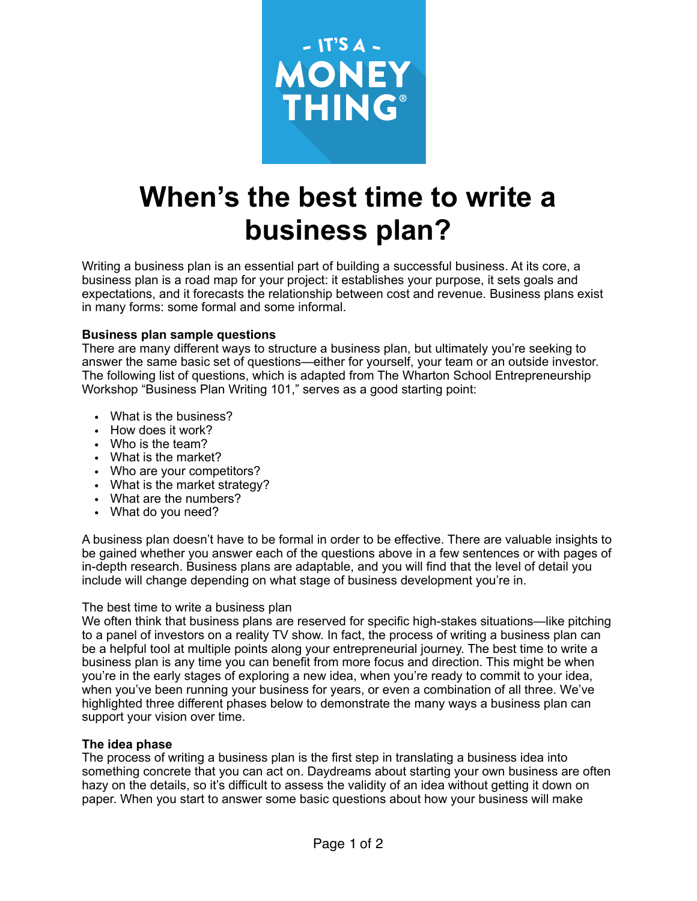

# **When's the best time to write a business plan?**

Writing a business plan is an essential part of building a successful business. At its core, a business plan is a road map for your project: it establishes your purpose, it sets goals and expectations, and it forecasts the relationship between cost and revenue. Business plans exist in many forms: some formal and some informal.

### **Business plan sample questions**

There are many different ways to structure a business plan, but ultimately you're seeking to answer the same basic set of questions—either for yourself, your team or an outside investor. The following list of questions, which is adapted from The Wharton School Entrepreneurship Workshop "Business Plan Writing 101," serves as a good starting point:

- What is the business?
- How does it work?
- Who is the team?
- What is the market?
- Who are your competitors?
- What is the market strategy?
- What are the numbers?
- What do you need?

A business plan doesn't have to be formal in order to be effective. There are valuable insights to be gained whether you answer each of the questions above in a few sentences or with pages of in-depth research. Business plans are adaptable, and you will find that the level of detail you include will change depending on what stage of business development you're in.

### The best time to write a business plan

We often think that business plans are reserved for specific high-stakes situations—like pitching to a panel of investors on a reality TV show. In fact, the process of writing a business plan can be a helpful tool at multiple points along your entrepreneurial journey. The best time to write a business plan is any time you can benefit from more focus and direction. This might be when you're in the early stages of exploring a new idea, when you're ready to commit to your idea, when you've been running your business for years, or even a combination of all three. We've highlighted three different phases below to demonstrate the many ways a business plan can support your vision over time.

### **The idea phase**

The process of writing a business plan is the first step in translating a business idea into something concrete that you can act on. Daydreams about starting your own business are often hazy on the details, so it's difficult to assess the validity of an idea without getting it down on paper. When you start to answer some basic questions about how your business will make